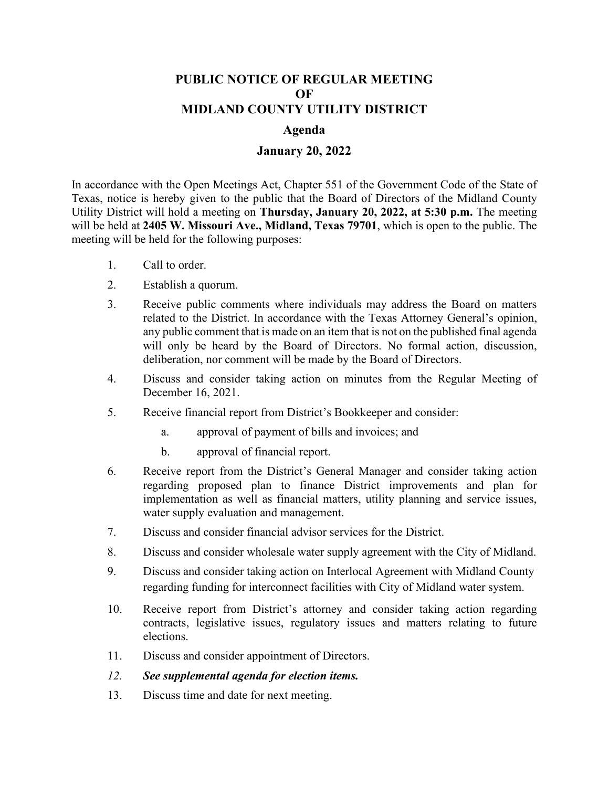## **PUBLIC NOTICE OF REGULAR MEETING OF MIDLAND COUNTY UTILITY DISTRICT**

## **Agenda**

## **January 20, 2022**

In accordance with the Open Meetings Act, Chapter 551 of the Government Code of the State of Texas, notice is hereby given to the public that the Board of Directors of the Midland County Utility District will hold a meeting on **Thursday, January 20, 2022, at 5:30 p.m.** The meeting will be held at **2405 W. Missouri Ave., Midland, Texas 79701**, which is open to the public. The meeting will be held for the following purposes:

- 1. Call to order.
- 2. Establish a quorum.
- 3. Receive public comments where individuals may address the Board on matters related to the District. In accordance with the Texas Attorney General's opinion, any public comment that is made on an item that is not on the published final agenda will only be heard by the Board of Directors. No formal action, discussion, deliberation, nor comment will be made by the Board of Directors.
- 4. Discuss and consider taking action on minutes from the Regular Meeting of December 16, 2021.
- 5. Receive financial report from District's Bookkeeper and consider:
	- a. approval of payment of bills and invoices; and
	- b. approval of financial report.
- 6. Receive report from the District's General Manager and consider taking action regarding proposed plan to finance District improvements and plan for implementation as well as financial matters, utility planning and service issues, water supply evaluation and management.
- 7. Discuss and consider financial advisor services for the District.
- 8. Discuss and consider wholesale water supply agreement with the City of Midland.
- 9. Discuss and consider taking action on Interlocal Agreement with Midland County regarding funding for interconnect facilities with City of Midland water system.
- 10. Receive report from District's attorney and consider taking action regarding contracts, legislative issues, regulatory issues and matters relating to future elections.
- 11. Discuss and consider appointment of Directors.
- *12. See supplemental agenda for election items.*
- 13. Discuss time and date for next meeting.